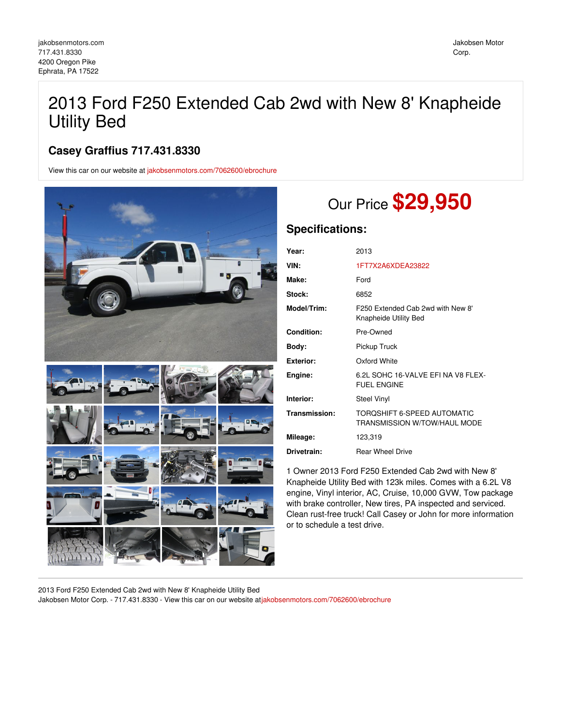## 2013 Ford F250 Extended Cab 2wd with New 8' Knapheide Utility Bed

## **Casey Graffius 717.431.8330**

View this car on our website at [jakobsenmotors.com/7062600/ebrochure](https://jakobsenmotors.com/vehicle/7062600/2013-ford-f250-extended-cab-2wd-with-new-8-knapheide-utility-bed-ephrata-pa-17522/7062600/ebrochure)



# Our Price **\$29,950**

## **Specifications:**

| Year:             | 2013                                                               |
|-------------------|--------------------------------------------------------------------|
| VIN:              | 1FT7X2A6XDEA23822                                                  |
| Make:             | Ford                                                               |
| Stock:            | 6852                                                               |
| Model/Trim:       | F250 Extended Cab 2wd with New 8'<br>Knapheide Utility Bed         |
| <b>Condition:</b> | Pre-Owned                                                          |
| Bodv:             | Pickup Truck                                                       |
| Exterior:         | Oxford White                                                       |
| Engine:           | 6.2L SOHC 16-VALVE EFI NA V8 FLEX-<br><b>FUEL ENGINE</b>           |
| Interior:         | <b>Steel Vinyl</b>                                                 |
| Transmission:     | TOROSHIFT 6-SPEED AUTOMATIC<br><b>TRANSMISSION W/TOW/HAUL MODE</b> |
| Mileage:          | 123,319                                                            |
| Drivetrain:       | <b>Rear Wheel Drive</b>                                            |

1 Owner 2013 Ford F250 Extended Cab 2wd with New 8' Knapheide Utility Bed with 123k miles. Comes with a 6.2L V8 engine, Vinyl interior, AC, Cruise, 10,000 GVW, Tow package with brake controller, New tires, PA inspected and serviced. Clean rust-free truck! Call Casey or John for more information or to schedule a test drive.

2013 Ford F250 Extended Cab 2wd with New 8' Knapheide Utility Bed Jakobsen Motor Corp. - 717.431.8330 - View this car on our website at[jakobsenmotors.com/7062600/ebrochure](https://jakobsenmotors.com/vehicle/7062600/2013-ford-f250-extended-cab-2wd-with-new-8-knapheide-utility-bed-ephrata-pa-17522/7062600/ebrochure)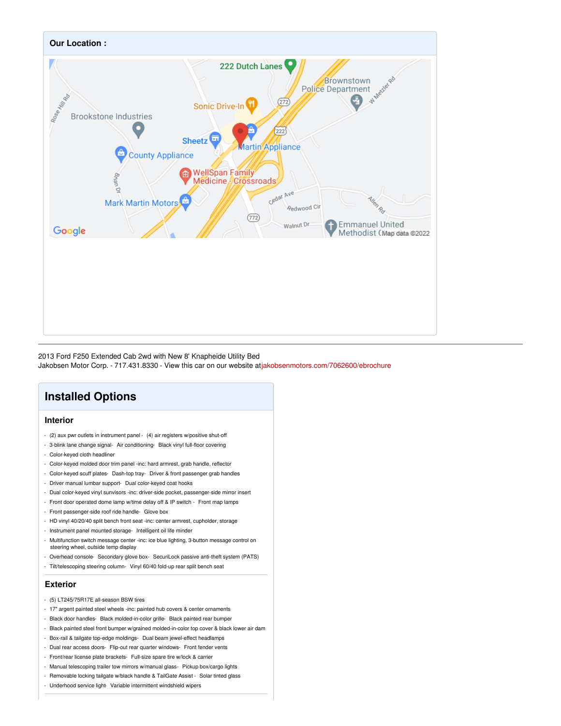

2013 Ford F250 Extended Cab 2wd with New 8' Knapheide Utility Bed Jakobsen Motor Corp. - 717.431.8330 - View this car on our website at[jakobsenmotors.com/7062600/ebrochure](https://jakobsenmotors.com/vehicle/7062600/2013-ford-f250-extended-cab-2wd-with-new-8-knapheide-utility-bed-ephrata-pa-17522/7062600/ebrochure)

## **Installed Options**

#### **Interior**

- (2) aux pwr outlets in instrument panel (4) air registers w/positive shut-off
- 3-blink lane change signal- Air conditioning- Black vinyl full-floor covering
- Color-keyed cloth headliner
- Color-keyed molded door trim panel -inc: hard armrest, grab handle, reflector
- Color-keyed scuff plates- Dash-top tray- Driver & front passenger grab handles
- Driver manual lumbar support- Dual color-keyed coat hooks
- Dual color-keyed vinyl sunvisors -inc: driver-side pocket, passenger-side mirror insert
- Front door operated dome lamp w/time delay off & IP switch Front map lamps
- Front passenger-side roof ride handle- Glove box
- HD vinyl 40/20/40 split bench front seat -inc: center armrest, cupholder, storage
- Instrument panel mounted storage- Intelligent oil life minder
- Multifunction switch message center -inc: ice blue lighting, 3-button message control on steering wheel, outside temp display
- Overhead console- Secondary glove box- SecuriLock passive anti-theft system (PATS)
- Tilt/telescoping steering column- Vinyl 60/40 fold-up rear split bench seat

#### **Exterior**

- (5) LT245/75R17E all-season BSW tires
- 17" argent painted steel wheels -inc: painted hub covers & center ornaments
- Black door handles- Black molded-in-color grille- Black painted rear bumper
- Black painted steel front bumper w/grained molded-in-color top cover & black lower air dam
- Box-rail & tailgate top-edge moldings- Dual beam jewel-effect headlamps
- Dual rear access doors- Flip-out rear quarter windows- Front fender vents
- Front/rear license plate brackets- Full-size spare tire w/lock & carrier
- Manual telescoping trailer tow mirrors w/manual glass- Pickup box/cargo lights
- Removable locking tailgate w/black handle & TailGate Assist Solar tinted glass
- Underhood service light- Variable intermittent windshield wipers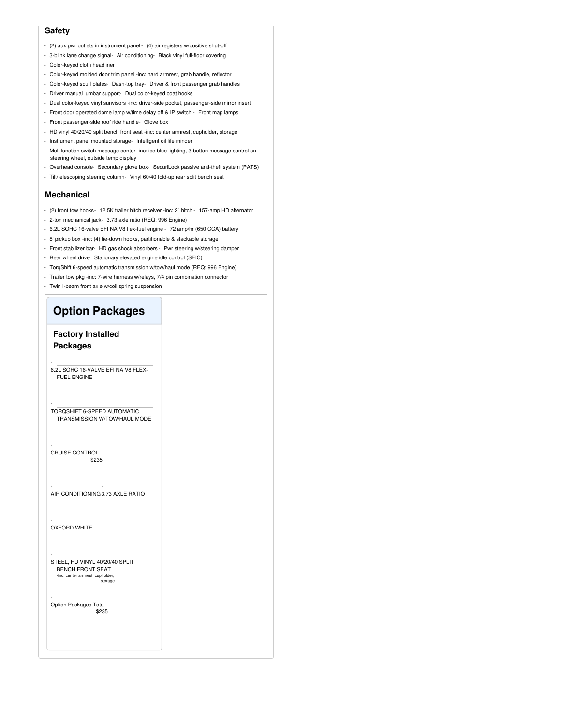#### **Safety**

- (2) aux pwr outlets in instrument panel (4) air registers w/positive shut-off
- 3-blink lane change signal- Air conditioning- Black vinyl full-floor covering
- Color-keyed cloth headliner
- Color-keyed molded door trim panel -inc: hard armrest, grab handle, reflector
- Color-keyed scuff plates- Dash-top tray- Driver & front passenger grab handles
- Driver manual lumbar support- Dual color-keyed coat hooks
- Dual color-keyed vinyl sunvisors -inc: driver-side pocket, passenger-side mirror insert
- Front door operated dome lamp w/time delay off & IP switch Front map lamps
- Front passenger-side roof ride handle- Glove box
- HD vinyl 40/20/40 split bench front seat -inc: center armrest, cupholder, storage
- Instrument panel mounted storage- Intelligent oil life minder
- Multifunction switch message center -inc: ice blue lighting, 3-button message control on steering wheel, outside temp display
- Overhead console- Secondary glove box- SecuriLock passive anti-theft system (PATS)
- Tilt/telescoping steering column- Vinyl 60/40 fold-up rear split bench seat

#### **Mechanical**

- (2) front tow hooks- 12.5K trailer hitch receiver -inc: 2" hitch 157-amp HD alternator
- 2-ton mechanical jack- 3.73 axle ratio (REQ: 996 Engine)
- 6.2L SOHC 16-valve EFI NA V8 flex-fuel engine 72 amp/hr (650 CCA) battery
- 8' pickup box -inc: (4) tie-down hooks, partitionable & stackable storage
- Front stabilizer bar- HD gas shock absorbers Pwr steering w/steering damper
- Rear wheel drive- Stationary elevated engine idle control (SEIC)
- TorqShift 6-speed automatic transmission w/tow/haul mode (REQ: 996 Engine)
- Trailer tow pkg -inc: 7-wire harness w/relays, 7/4 pin combination connector
- Twin I-beam front axle w/coil spring suspension

### **Option Packages**

#### **Factory Installed Packages**

-

-

6.2L SOHC 16-VALVE EFI NA V8 FLEX-FUEL ENGINE

TORQSHIFT 6-SPEED AUTOMATIC TRANSMISSION W/TOW/HAUL MODE

\$235 - CRUISE CONTROL

- AIR CONDITIONING - 3.73 AXLE RATIO

- OXFORD WHITE

-

-

STEEL, HD VINYL 40/20/40 SPLIT BENCH FRONT SEAT -inc: center armrest, cupholder storage

\$235 Option Packages Total